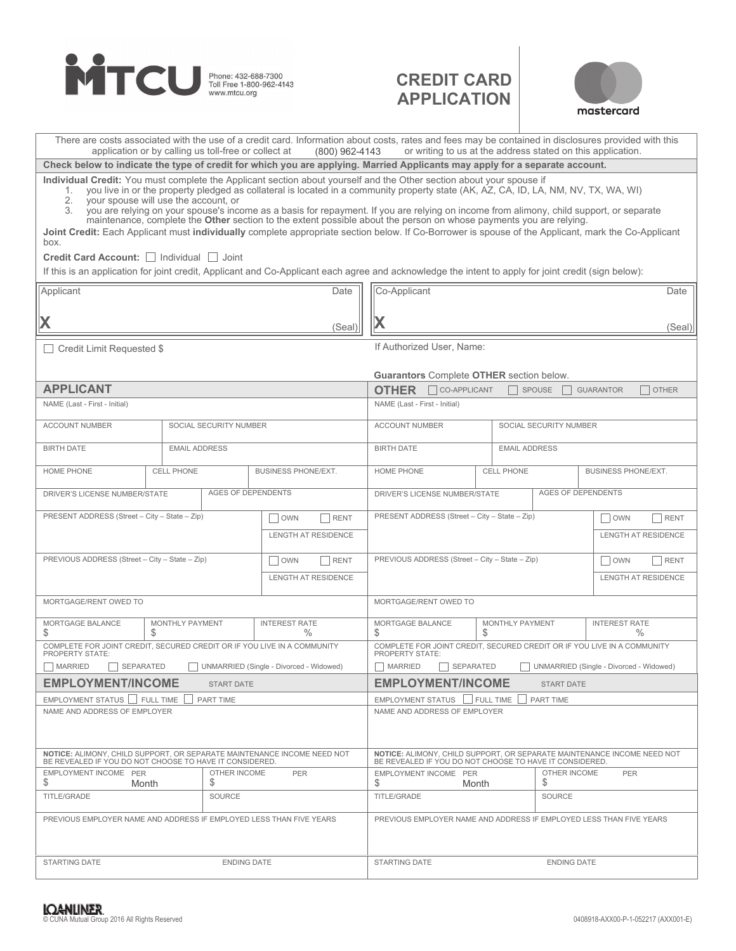

# **CREDIT CARD APPLICATION**



| There are costs associated with the use of a credit card. Information about costs, rates and fees may be contained in disclosures provided with this<br>application or by calling us toll-free or collect at<br>(800) 962-4143<br>or writing to us at the address stated on this application.                                                                                                                                                                                                                                                                                                                                                                                                                                                        |                            |                                                                     |                                                                                                                                    |                                                                                                   |                               |                            |                              |  |  |  |
|------------------------------------------------------------------------------------------------------------------------------------------------------------------------------------------------------------------------------------------------------------------------------------------------------------------------------------------------------------------------------------------------------------------------------------------------------------------------------------------------------------------------------------------------------------------------------------------------------------------------------------------------------------------------------------------------------------------------------------------------------|----------------------------|---------------------------------------------------------------------|------------------------------------------------------------------------------------------------------------------------------------|---------------------------------------------------------------------------------------------------|-------------------------------|----------------------------|------------------------------|--|--|--|
| Check below to indicate the type of credit for which you are applying. Married Applicants may apply for a separate account.                                                                                                                                                                                                                                                                                                                                                                                                                                                                                                                                                                                                                          |                            |                                                                     |                                                                                                                                    |                                                                                                   |                               |                            |                              |  |  |  |
| Individual Credit: You must complete the Applicant section about yourself and the Other section about your spouse if<br>you live in or the property pledged as collateral is located in a community property state (AK, AZ, CA, ID, LA, NM, NV, TX, WA, WI)<br>1.<br>2.<br>your spouse will use the account, or<br>you are relying on your spouse's income as a basis for repayment. If you are relying on income from alimony, child support, or separate<br>3.<br>maintenance, complete the <b>Other</b> section to the extent possible about the person on whose payments you are relying.<br>Joint Credit: Each Applicant must individually complete appropriate section below. If Co-Borrower is spouse of the Applicant, mark the Co-Applicant |                            |                                                                     |                                                                                                                                    |                                                                                                   |                               |                            |                              |  |  |  |
| box.<br>Credit Card Account: □ Individual □ Joint                                                                                                                                                                                                                                                                                                                                                                                                                                                                                                                                                                                                                                                                                                    |                            |                                                                     |                                                                                                                                    |                                                                                                   |                               |                            |                              |  |  |  |
| If this is an application for joint credit. Applicant and Co-Applicant each agree and acknowledge the intent to apply for joint credit (sign below):                                                                                                                                                                                                                                                                                                                                                                                                                                                                                                                                                                                                 |                            |                                                                     |                                                                                                                                    |                                                                                                   |                               |                            |                              |  |  |  |
| Applicant                                                                                                                                                                                                                                                                                                                                                                                                                                                                                                                                                                                                                                                                                                                                            |                            |                                                                     | Date                                                                                                                               | Co-Applicant<br>Date                                                                              |                               |                            |                              |  |  |  |
| $\bm{\mathsf{X}}$                                                                                                                                                                                                                                                                                                                                                                                                                                                                                                                                                                                                                                                                                                                                    |                            |                                                                     | (Seal)                                                                                                                             |                                                                                                   |                               |                            | (Seal)                       |  |  |  |
| □ Credit Limit Requested \$                                                                                                                                                                                                                                                                                                                                                                                                                                                                                                                                                                                                                                                                                                                          |                            |                                                                     |                                                                                                                                    | If Authorized User, Name:                                                                         |                               |                            |                              |  |  |  |
|                                                                                                                                                                                                                                                                                                                                                                                                                                                                                                                                                                                                                                                                                                                                                      |                            |                                                                     |                                                                                                                                    | Guarantors Complete OTHER section below.                                                          |                               |                            |                              |  |  |  |
| <b>APPLICANT</b>                                                                                                                                                                                                                                                                                                                                                                                                                                                                                                                                                                                                                                                                                                                                     |                            |                                                                     |                                                                                                                                    | CO-APPLICANT<br><b>OTHER</b>                                                                      |                               | SPOUSE                     | OTHER<br><b>GUARANTOR</b>    |  |  |  |
| NAME (Last - First - Initial)                                                                                                                                                                                                                                                                                                                                                                                                                                                                                                                                                                                                                                                                                                                        |                            |                                                                     |                                                                                                                                    | NAME (Last - First - Initial)                                                                     |                               |                            |                              |  |  |  |
| <b>ACCOUNT NUMBER</b>                                                                                                                                                                                                                                                                                                                                                                                                                                                                                                                                                                                                                                                                                                                                |                            | SOCIAL SECURITY NUMBER                                              |                                                                                                                                    | <b>ACCOUNT NUMBER</b>                                                                             | SOCIAL SECURITY NUMBER        |                            |                              |  |  |  |
| <b>BIRTH DATE</b>                                                                                                                                                                                                                                                                                                                                                                                                                                                                                                                                                                                                                                                                                                                                    | <b>EMAIL ADDRESS</b>       |                                                                     |                                                                                                                                    | <b>BIRTH DATE</b>                                                                                 |                               | <b>EMAIL ADDRESS</b>       |                              |  |  |  |
| <b>HOME PHONE</b>                                                                                                                                                                                                                                                                                                                                                                                                                                                                                                                                                                                                                                                                                                                                    | <b>CELL PHONE</b>          |                                                                     | <b>BUSINESS PHONE/EXT.</b>                                                                                                         | HOME PHONE                                                                                        | <b>CELL PHONE</b>             | <b>BUSINESS PHONE/EXT.</b> |                              |  |  |  |
| DRIVER'S LICENSE NUMBER/STATE                                                                                                                                                                                                                                                                                                                                                                                                                                                                                                                                                                                                                                                                                                                        |                            | AGES OF DEPENDENTS                                                  |                                                                                                                                    | <b>AGES OF DEPENDENTS</b><br>DRIVER'S LICENSE NUMBER/STATE                                        |                               |                            |                              |  |  |  |
| PRESENT ADDRESS (Street - City - State - Zip)                                                                                                                                                                                                                                                                                                                                                                                                                                                                                                                                                                                                                                                                                                        | <b>OWN</b><br>RENT         | PRESENT ADDRESS (Street - City - State - Zip)                       |                                                                                                                                    |                                                                                                   | $\overline{\big)$ OWN<br>RENT |                            |                              |  |  |  |
|                                                                                                                                                                                                                                                                                                                                                                                                                                                                                                                                                                                                                                                                                                                                                      | <b>LENGTH AT RESIDENCE</b> |                                                                     |                                                                                                                                    |                                                                                                   | <b>LENGTH AT RESIDENCE</b>    |                            |                              |  |  |  |
| PREVIOUS ADDRESS (Street - City - State - Zip)                                                                                                                                                                                                                                                                                                                                                                                                                                                                                                                                                                                                                                                                                                       | $\Box$ RENT<br>$\vert$ OWN | PREVIOUS ADDRESS (Street - City - State - Zip)                      |                                                                                                                                    |                                                                                                   | $\Box$ OWN<br><b>RENT</b>     |                            |                              |  |  |  |
|                                                                                                                                                                                                                                                                                                                                                                                                                                                                                                                                                                                                                                                                                                                                                      | <b>LENGTH AT RESIDENCE</b> |                                                                     |                                                                                                                                    |                                                                                                   | <b>LENGTH AT RESIDENCE</b>    |                            |                              |  |  |  |
| MORTGAGE/RENT OWED TO                                                                                                                                                                                                                                                                                                                                                                                                                                                                                                                                                                                                                                                                                                                                |                            | MORTGAGE/RENT OWED TO                                               |                                                                                                                                    |                                                                                                   |                               |                            |                              |  |  |  |
| MORTGAGE BALANCE<br>\$<br>S                                                                                                                                                                                                                                                                                                                                                                                                                                                                                                                                                                                                                                                                                                                          | <b>MONTHLY PAYMENT</b>     |                                                                     | <b>INTEREST RATE</b><br>%                                                                                                          | MORTGAGE BALANCE<br>\$                                                                            | MONTHLY PAYMENT<br>S          |                            | <b>INTEREST RATE</b><br>$\%$ |  |  |  |
| COMPLETE FOR JOINT CREDIT, SECURED CREDIT OR IF YOU LIVE IN A COMMUNITY<br>PROPERTY STATE:                                                                                                                                                                                                                                                                                                                                                                                                                                                                                                                                                                                                                                                           |                            |                                                                     |                                                                                                                                    | COMPLETE FOR JOINT CREDIT. SECURED CREDIT OR IF YOU LIVE IN A COMMUNITY<br><b>PROPERTY STATE:</b> |                               |                            |                              |  |  |  |
| MARRIED<br><b>SEPARATED</b>                                                                                                                                                                                                                                                                                                                                                                                                                                                                                                                                                                                                                                                                                                                          |                            |                                                                     | UNMARRIED (Single - Divorced - Widowed)                                                                                            | <b>MARRIED</b><br>SEPARATED<br>UNMARRIED (Single - Divorced - Widowed)                            |                               |                            |                              |  |  |  |
| <b>EMPLOYMENT/INCOME</b>                                                                                                                                                                                                                                                                                                                                                                                                                                                                                                                                                                                                                                                                                                                             |                            | <b>EMPLOYMENT/INCOME</b><br><b>START DATE</b>                       |                                                                                                                                    |                                                                                                   |                               |                            |                              |  |  |  |
| EMPLOYMENT STATUS   FULL TIME                                                                                                                                                                                                                                                                                                                                                                                                                                                                                                                                                                                                                                                                                                                        |                            | <b>PART TIME</b>                                                    |                                                                                                                                    | EMPLOYMENT STATUS   FULL TIME<br>PART TIME                                                        |                               |                            |                              |  |  |  |
| NAME AND ADDRESS OF EMPLOYER                                                                                                                                                                                                                                                                                                                                                                                                                                                                                                                                                                                                                                                                                                                         |                            | NAME AND ADDRESS OF EMPLOYER                                        |                                                                                                                                    |                                                                                                   |                               |                            |                              |  |  |  |
|                                                                                                                                                                                                                                                                                                                                                                                                                                                                                                                                                                                                                                                                                                                                                      |                            |                                                                     |                                                                                                                                    |                                                                                                   |                               |                            |                              |  |  |  |
| NOTICE: ALIMONY, CHILD SUPPORT, OR SEPARATE MAINTENANCE INCOME NEED NOT<br>BE REVEALED IF YOU DO NOT CHOOSE TO HAVE IT CONSIDERED.                                                                                                                                                                                                                                                                                                                                                                                                                                                                                                                                                                                                                   |                            |                                                                     | NOTICE: ALIMONY, CHILD SUPPORT, OR SEPARATE MAINTENANCE INCOME NEED NOT<br>BE REVEALED IF YOU DO NOT CHOOSE TO HAVE IT CONSIDERED. |                                                                                                   |                               |                            |                              |  |  |  |
| EMPLOYMENT INCOME PER<br>\$<br>Month                                                                                                                                                                                                                                                                                                                                                                                                                                                                                                                                                                                                                                                                                                                 | OTHER INCOME<br><b>PER</b> | EMPLOYMENT INCOME PER<br>S.                                         | OTHER INCOME<br>PER<br>\$<br>Month                                                                                                 |                                                                                                   |                               |                            |                              |  |  |  |
| TITLE/GRADE                                                                                                                                                                                                                                                                                                                                                                                                                                                                                                                                                                                                                                                                                                                                          |                            | TITLE/GRADE<br>SOURCE                                               |                                                                                                                                    |                                                                                                   |                               |                            |                              |  |  |  |
| PREVIOUS EMPLOYER NAME AND ADDRESS IF EMPLOYED LESS THAN FIVE YEARS                                                                                                                                                                                                                                                                                                                                                                                                                                                                                                                                                                                                                                                                                  |                            | PREVIOUS EMPLOYER NAME AND ADDRESS IF EMPLOYED LESS THAN FIVE YEARS |                                                                                                                                    |                                                                                                   |                               |                            |                              |  |  |  |
| <b>STARTING DATE</b>                                                                                                                                                                                                                                                                                                                                                                                                                                                                                                                                                                                                                                                                                                                                 | <b>ENDING DATE</b>         | STARTING DATE                                                       |                                                                                                                                    | <b>ENDING DATE</b>                                                                                |                               |                            |                              |  |  |  |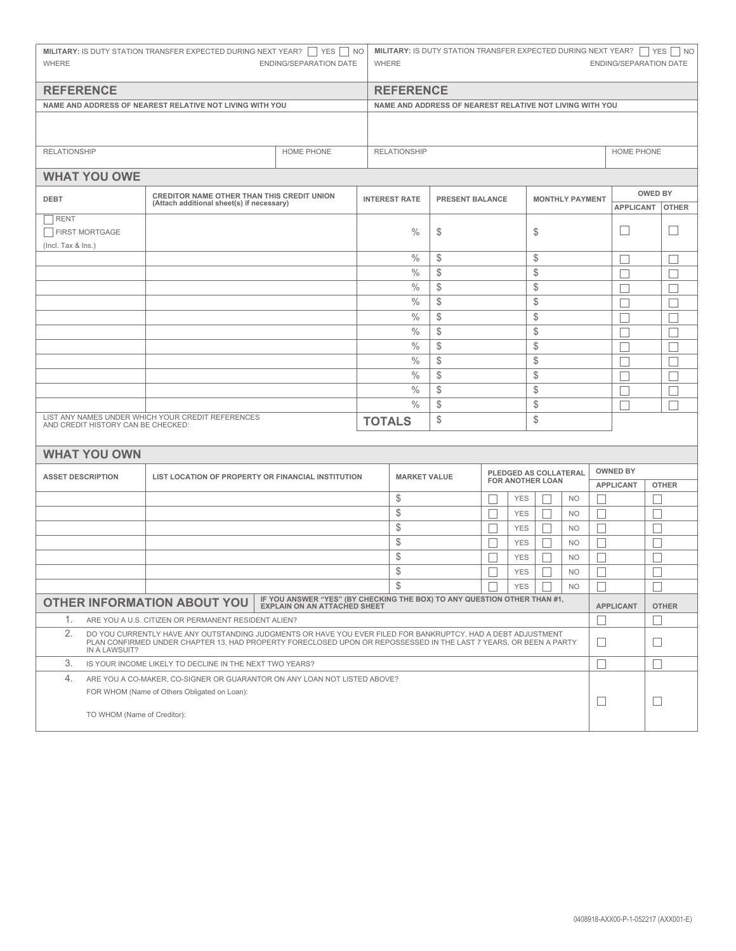| MILITARY: IS DUTY STATION TRANSFER EXPECTED DURING NEXT YEAR?   YES   NO                                                                                                        |                                                                                         |                                                    |  |            |                                 | <b>MILITARY:</b> IS DUTY STATION TRANSFER EXPECTED DURING NEXT YEAR? $\Box$ YES $\Box$ NO |                                           |  |   |              |                                           |           |                                    |                                                     |                          |  |
|---------------------------------------------------------------------------------------------------------------------------------------------------------------------------------|-----------------------------------------------------------------------------------------|----------------------------------------------------|--|------------|---------------------------------|-------------------------------------------------------------------------------------------|-------------------------------------------|--|---|--------------|-------------------------------------------|-----------|------------------------------------|-----------------------------------------------------|--------------------------|--|
| <b>WHERE</b><br><b>ENDING/SEPARATION DATE</b>                                                                                                                                   |                                                                                         |                                                    |  |            | WHERE<br>ENDING/SEPARATION DATE |                                                                                           |                                           |  |   |              |                                           |           |                                    |                                                     |                          |  |
| <b>REFERENCE</b>                                                                                                                                                                |                                                                                         |                                                    |  |            | <b>REFERENCE</b>                |                                                                                           |                                           |  |   |              |                                           |           |                                    |                                                     |                          |  |
| NAME AND ADDRESS OF NEAREST RELATIVE NOT LIVING WITH YOU                                                                                                                        |                                                                                         |                                                    |  |            |                                 | NAME AND ADDRESS OF NEAREST RELATIVE NOT LIVING WITH YOU                                  |                                           |  |   |              |                                           |           |                                    |                                                     |                          |  |
|                                                                                                                                                                                 |                                                                                         |                                                    |  |            |                                 |                                                                                           |                                           |  |   |              |                                           |           |                                    |                                                     |                          |  |
| <b>RELATIONSHIP</b>                                                                                                                                                             |                                                                                         |                                                    |  | HOME PHONE |                                 | <b>RELATIONSHIP</b>                                                                       |                                           |  |   |              |                                           |           |                                    | HOME PHONE                                          |                          |  |
| <b>WHAT YOU OWE</b>                                                                                                                                                             |                                                                                         |                                                    |  |            |                                 |                                                                                           |                                           |  |   |              |                                           |           |                                    |                                                     |                          |  |
| <b>DEBT</b>                                                                                                                                                                     | CREDITOR NAME OTHER THAN THIS CREDIT UNION<br>(Attach additional sheet(s) if necessary) |                                                    |  |            |                                 | <b>INTEREST RATE</b>                                                                      | PRESENT BALANCE<br><b>MONTHLY PAYMENT</b> |  |   |              |                                           |           | <b>OWED BY</b><br><b>APPLICANT</b> |                                                     | <b>OTHER</b>             |  |
| $\Box$ RENT<br>FIRST MORTGAGE<br>(Incl. Tax & Ins.)                                                                                                                             |                                                                                         |                                                    |  |            |                                 | $\frac{0}{0}$                                                                             | \$                                        |  |   |              | $\frac{1}{2}$                             |           |                                    | $\Box$                                              |                          |  |
|                                                                                                                                                                                 |                                                                                         |                                                    |  |            |                                 | $\frac{0}{0}$                                                                             | \$                                        |  |   |              | $\sqrt[6]{2}$                             |           |                                    | $\overline{\phantom{a}}$                            |                          |  |
|                                                                                                                                                                                 |                                                                                         |                                                    |  |            |                                 | $\frac{0}{0}$                                                                             | \$                                        |  |   |              | $\mathcal{S}$                             |           |                                    | $\Box$                                              |                          |  |
|                                                                                                                                                                                 |                                                                                         |                                                    |  |            |                                 | $\frac{0}{0}$                                                                             | $\mathcal{S}$                             |  |   |              | $\sqrt[6]{2}$                             |           |                                    | L                                                   |                          |  |
|                                                                                                                                                                                 |                                                                                         |                                                    |  |            |                                 | $\frac{0}{0}$                                                                             | \$                                        |  |   |              | $\sqrt[6]{2}$                             |           |                                    | $\overline{\phantom{a}}$                            |                          |  |
|                                                                                                                                                                                 |                                                                                         |                                                    |  |            |                                 | $\frac{0}{0}$                                                                             | \$                                        |  |   |              | $\sqrt[6]{2}$                             |           |                                    | □                                                   |                          |  |
|                                                                                                                                                                                 |                                                                                         |                                                    |  |            |                                 | $\frac{0}{0}$<br>$\frac{0}{0}$                                                            | \$                                        |  |   |              | $\mathcal{L}$                             |           |                                    | $\Box$                                              |                          |  |
|                                                                                                                                                                                 |                                                                                         |                                                    |  |            |                                 | $\frac{0}{0}$                                                                             | \$<br>\$                                  |  |   |              | $\mathcal{L}$<br>$\sqrt[6]{2}$            |           |                                    | ∟                                                   |                          |  |
|                                                                                                                                                                                 |                                                                                         |                                                    |  |            |                                 | $\frac{0}{0}$                                                                             | \$                                        |  |   |              | $\sqrt[6]{2}$                             |           |                                    | L                                                   |                          |  |
|                                                                                                                                                                                 |                                                                                         |                                                    |  |            |                                 | $\frac{0}{0}$                                                                             | \$                                        |  |   |              | $\sqrt[6]{2}$                             |           |                                    | L                                                   |                          |  |
|                                                                                                                                                                                 |                                                                                         |                                                    |  |            |                                 | $\frac{0}{0}$                                                                             | \$                                        |  |   |              | $\sqrt[6]{2}$                             |           |                                    |                                                     |                          |  |
|                                                                                                                                                                                 | AND CREDIT HISTORY CAN BE CHECKED:                                                      | LIST ANY NAMES UNDER WHICH YOUR CREDIT REFERENCES  |  |            |                                 | <b>TOTALS</b>                                                                             | \$                                        |  |   |              | $\$\$                                     |           |                                    |                                                     |                          |  |
|                                                                                                                                                                                 |                                                                                         |                                                    |  |            |                                 |                                                                                           |                                           |  |   |              |                                           |           |                                    |                                                     |                          |  |
| <b>WHAT YOU OWN</b>                                                                                                                                                             |                                                                                         |                                                    |  |            |                                 |                                                                                           |                                           |  |   |              |                                           |           |                                    |                                                     |                          |  |
| <b>ASSET DESCRIPTION</b>                                                                                                                                                        |                                                                                         | LIST LOCATION OF PROPERTY OR FINANCIAL INSTITUTION |  |            |                                 | <b>MARKET VALUE</b>                                                                       |                                           |  |   |              | PLEDGED AS COLLATERAL<br>FOR ANOTHER LOAN |           |                                    | <b>OWNED BY</b><br><b>APPLICANT</b><br><b>OTHER</b> |                          |  |
|                                                                                                                                                                                 |                                                                                         |                                                    |  |            |                                 | \$                                                                                        |                                           |  |   | <b>YES</b>   |                                           | <b>NO</b> |                                    |                                                     |                          |  |
|                                                                                                                                                                                 |                                                                                         |                                                    |  |            |                                 | $\sqrt[6]{2}$                                                                             |                                           |  |   | <b>YES</b>   |                                           | <b>NO</b> |                                    |                                                     |                          |  |
|                                                                                                                                                                                 |                                                                                         |                                                    |  |            |                                 | $\$\$                                                                                     |                                           |  |   | <b>YES</b>   |                                           | <b>NO</b> |                                    |                                                     |                          |  |
|                                                                                                                                                                                 |                                                                                         |                                                    |  |            |                                 | $\, \, \raisebox{-1.5pt}{\text{\circle*{1.5}}}\,$                                         |                                           |  |   | <b>YES</b>   |                                           | <b>NO</b> |                                    |                                                     |                          |  |
|                                                                                                                                                                                 |                                                                                         |                                                    |  |            |                                 | \$                                                                                        |                                           |  |   | <b>YES</b>   |                                           | <b>NO</b> |                                    |                                                     |                          |  |
|                                                                                                                                                                                 |                                                                                         |                                                    |  |            |                                 | $\$\$                                                                                     |                                           |  |   | <b>YES</b>   |                                           | <b>NO</b> | $\overline{\phantom{a}}$           |                                                     | $\overline{\phantom{0}}$ |  |
|                                                                                                                                                                                 |                                                                                         |                                                    |  |            |                                 | D                                                                                         |                                           |  |   | YES          |                                           | <b>NO</b> |                                    |                                                     |                          |  |
| IF YOU ANSWER "YES" (BY CHECKING THE BOX) TO ANY QUESTION OTHER THAN #1,<br><b>OTHER INFORMATION ABOUT YOU</b><br><b>EXPLAIN ON AN ATTACHED SHEET</b>                           |                                                                                         |                                                    |  |            |                                 |                                                                                           |                                           |  |   |              | <b>APPLICANT</b>                          |           | <b>OTHER</b>                       |                                                     |                          |  |
| 1.<br>ARE YOU A U.S. CITIZEN OR PERMANENT RESIDENT ALIEN?<br>2.<br>DO YOU CURRENTLY HAVE ANY OUTSTANDING JUDGMENTS OR HAVE YOU EVER FILED FOR BANKRUPTCY, HAD A DEBT ADJUSTMENT |                                                                                         |                                                    |  |            |                                 |                                                                                           |                                           |  |   | $\mathbf{L}$ |                                           |           |                                    |                                                     |                          |  |
| PLAN CONFIRMED UNDER CHAPTER 13, HAD PROPERTY FORECLOSED UPON OR REPOSSESSED IN THE LAST 7 YEARS, OR BEEN A PARTY<br>IN A LAWSUIT?                                              |                                                                                         |                                                    |  |            |                                 |                                                                                           |                                           |  |   | $\mathbf{L}$ |                                           | $\Box$    |                                    |                                                     |                          |  |
| 3.                                                                                                                                                                              | IS YOUR INCOME LIKELY TO DECLINE IN THE NEXT TWO YEARS?                                 |                                                    |  |            |                                 |                                                                                           |                                           |  |   |              | $\Box$                                    |           | $\mathcal{L}_{\mathcal{A}}$        |                                                     |                          |  |
| 4.                                                                                                                                                                              | ARE YOU A CO-MAKER, CO-SIGNER OR GUARANTOR ON ANY LOAN NOT LISTED ABOVE?                |                                                    |  |            |                                 |                                                                                           |                                           |  |   |              |                                           |           |                                    |                                                     |                          |  |
|                                                                                                                                                                                 | FOR WHOM (Name of Others Obligated on Loan):<br>TO WHOM (Name of Creditor):             |                                                    |  |            |                                 |                                                                                           |                                           |  | ш |              |                                           |           |                                    |                                                     |                          |  |
|                                                                                                                                                                                 |                                                                                         |                                                    |  |            |                                 |                                                                                           |                                           |  |   |              |                                           |           |                                    |                                                     |                          |  |